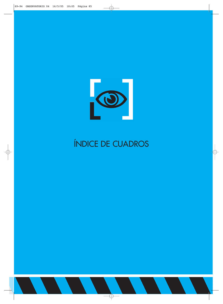

## ÍNDICE DE CUADROS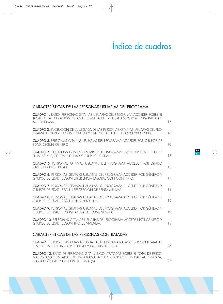## Índice de cuadros

## CARACTERÍSTICAS DE LAS PERSONAS USUARIAS DEL PROGRAMA

| <b>CUADRO 1.</b> RATIO: PERSONAS GITANAS USUARIAS DEL PROGRAMA ACCEDER SOBRE EL<br>TOTAL DE LA POBLACIÓN GITANA ESTIMADA DE 16 A 64 AÑOS POR COMUNIDADES<br>AUTÓNOMAS. | 15 |
|------------------------------------------------------------------------------------------------------------------------------------------------------------------------|----|
| <b>CUADRO 2.</b> EVOLUCIÓN DE LA LLEGADA DE LAS PERSONAS GITANAS USUARIAS DEL PRO-<br>GRAMA ACCEDER, SEGÚN GÉNERO Y GRUPOS DE EDAD. PERÍODO 2000-2004.                 | 16 |
| <b>CUADRO 3. PERSONAS GITANAS USUARIAS DEL PROGRAMA ACCEDER POR GRUPOS DE</b><br>EDAD, SEGÚN GÉNERO.                                                                   | 16 |
| <b>CUADRO 4. PERSONAS GITANAS USUARIAS DEL PROGRAMA ACCEDER POR ESTUDIOS</b><br>FINALIZADOS, SEGÚN GÉNERO Y GRUPOS DE EDAD.                                            | 17 |
| <b>CUADRO 5. PERSONAS GITANAS USUARIAS DEL PROGRAMA ACCEDER POR ESTADO</b><br>CIVIL, SEGÚN GÉNERO.                                                                     | 18 |
| <b>CUADRO 6.</b> PERSONAS GITANAS USUARIAS DEL PROGRAMA ACCEDER POR GÉNERO Y<br>GRUPOS DE EDAD, SEGÚN EXPERIENCIA LABORAL CON CONTRATO.                                | 18 |
| <b>CUADRO 7.</b> PERSONAS GITANAS USUARIAS DEL PROGRAMA ACCEDER POR GÉNERO Y<br>GRUPOS DE EDAD, SEGÚN PERCEPCIÓN DE RENTA MÍNIMA.                                      | 18 |
| <b>CUADRO 8.</b> PERSONAS GITANAS USUARIAS DEL PROGRAMA ACCEDER POR GÉNERO Y<br>GRUPOS DE EDAD, SEGÚN HIJOS/NO HIJOS.                                                  | 19 |
| <b>CUADRO 9.</b> PERSONAS GITANAS USUARIAS DEL PROGRAMA ACCEDER POR GÉNERO Y<br>GRUPOS DE EDAD, SEGÚN FORMA DE CONVIVENCIA.                                            | 19 |
| <b>CUADRO 10.</b> PERSONAS GITANAS USUARIAS DEL PROGRAMA ACCEDER POR GÉNERO Y<br>GRUPOS DE EDAD, SEGÚN TIPO DE VIVIENDA.                                               | 19 |
| CARACTERÍSTICAS DE LAS PERSONAS CONTRATADAS                                                                                                                            |    |

CUADRO 11. PERSONAS GITANAS USUARIAS DEL PROGRAMA ACCEDER CONTRATADAS Y NO CONTRATADAS POR GÉNERO Y GRUPOS DE EDAD. 26

CUADRO 12. RATIO DE PERSONAS GITANAS CONTRATADAS SOBRE EL TOTAL DE PERSO-NAS GITANAS USUARIAS DEL PROGRAMA ACCEDER POR COMUNIDAD AUTÓNOMA, SEGÚN GÉNERO Y GRUPOS DE EDAD. (%)

27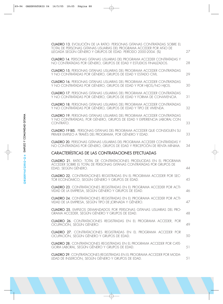| <b>CUADRO 13.</b> EVOLUCIÓN DE LA RATIO: PERSONAS GITANAS CONTRATADAS SOBRE EL<br>TOTAL DE PERSONAS GITANAS USUARIAS DEL PROGRAMA ACCEDER POR AÑO DE<br>LLEGADA SEGÚN GÉNERO Y GRUPOS DE EDAD. PERÍODO 2000-2004. (%) | 27 |
|-----------------------------------------------------------------------------------------------------------------------------------------------------------------------------------------------------------------------|----|
| <b>CUADRO 14. PERSONAS GITANAS USUARIAS DEL PROGRAMA ACCEDER CONTRATADAS Y</b><br>NO CONTRATADAS POR GÉNERO, GRUPOS DE EDAD Y ESTUDIOS FINALIZADOS.                                                                   | 28 |
| <b>CUADRO 15. PERSONAS GITANAS USUARIAS DEL PROGRAMA ACCEDER CONTRATADAS</b><br>Y NO CONTRATADAS POR GÉNERO, GRUPOS DE EDAD Y ESTADO CIVIL.                                                                           | 29 |
| <b>CUADRO 16. PERSONAS GITANAS USUARIAS DEL PROGRAMA ACCEDER CONTRATADAS</b><br>Y NO CONTRATADAS POR GÉNERO, GRUPOS DE EDAD Y POR HIJOS/NO HIJOS.                                                                     | 30 |
| <b>CUADRO 17. PERSONAS GITANAS USUARIAS DEL PROGRAMA ACCEDER CONTRATADAS</b><br>Y NO CONTRATADAS POR GÉNERO, GRUPOS DE EDAD Y FORMA DE CONVIVENCIA.                                                                   | 31 |
| <b>CUADRO 18.</b> PERSONAS GITANAS USUARIAS DEL PROGRAMA ACCEDER CONTRATADAS<br>Y NO CONTRATADAS POR GÉNERO, GRUPOS DE EDAD Y TIPO DE VIVIENDA.                                                                       | 32 |
| <b>CUADRO 19.</b> PERSONAS GITANAS USUARIAS DEL PROGRAMA ACCEDER CONTRATADAS<br>Y NO CONTRATADAS, POR GÉNERO, GRUPOS DE EDAD Y EXPERIENCIA LABORAL CON<br>CONTRATO.                                                   | 33 |
| <b>CUADRO 19 BIS.</b> PERSONAS GITANAS DEL PROGRAMA ACCEDER QUE CONSIGUEN SU<br>PRIMER EMPLEO A TRAVÉS DEL PROGRAMA, POR GÉNERO Y EDAD.                                                                               | 33 |
| <b>CUADRO 20.</b> PERSONAS GITANAS USUARIAS DEL PROGRAMA ACCEDER CONTRATADAS Y<br>NO CONTRATADAS POR GÉNERO, GRUPOS DE EDAD Y PERCEPCIÓN DE RENTA MÍNIMA.                                                             | 34 |
| <b>CARACTERÍSTICAS DE LAS CONTRATACIONES EFECTUADAS</b>                                                                                                                                                               |    |
| <b>CUADRO 21.</b> RATIO: TOTAL DE CONTRATACIONES PRODUCIDAS EN EL PROGRAMA<br>ACCEDER SOBRE EL TOTAL DE PERSONAS GITANAS CONTRATADAS POR GRUPOS DE<br>EDAD, SEGÚN GÉNERO.                                             | 44 |
| <b>CUADRO 22.</b> CONTRATACIONES REGISTRADAS EN EL PROGRAMA ACCEDER POR SEC-<br>TOR ECONÓMICO, SEGÚN GÉNERO Y GRUPOS DE EDAD.                                                                                         | 45 |
| <b>CUADRO 23.</b> CONTRATACIONES REGISTRADAS EN EL PROGRAMA ACCEDER POR ACTI-<br>VIDAD DE LA EMPRESA, SEGÚN GÉNERO Y GRUPOS DE EDAD.                                                                                  | 46 |
| <b>CUADRO 24.</b> CONTRATACIONES REGISTRADAS EN EL PROGRAMA ACCEDER POR ACTI-<br>VIDAD DE LA EMPRESA, SEGÚN TIPO DE JORNADA Y GÉNERO.                                                                                 | 47 |
| <b>CUADRO 25.</b> EMPLEOS DEMANDADOS POR PERSONAS GITANAS USUARIAS DEL PRO-<br>GRAMA ACCEDER, SEGÚN GÉNERO Y GRUPOS DE EDAD.                                                                                          | 48 |
| CUADRO 26. CONTRATACIONES REGISTRADAS EN EL PROGRAMA ACCEDER, POR<br>OCUPACIÓN, SEGÚN GÉNERO.                                                                                                                         | 49 |
| <b>CUADRO 27.</b> CONTRATACIONES REGISTRADAS EN EL PROGRAMA ACCEDER POR                                                                                                                                               |    |
| OCUPACIÓN, SEGÚN GÉNERO Y GRUPOS DE EDAD.                                                                                                                                                                             | 50 |
| <b>CUADRO 28.</b> CONTRATACIONES REGISTRADAS EN EL PROGRAMA ACCEDER POR CATE-<br>GORIA LABORAL, SEGÚN GÉNERO Y GRUPOS DE EDAD.                                                                                        | 51 |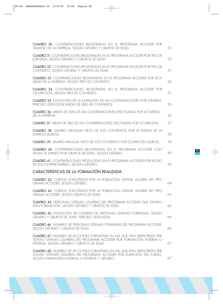| <b>CUADRO 30.</b> CONTRATACIONES REGISTRADAS EN EL PROGRAMA ACCEDER POR<br>TAMAÑO DE LA EMPRESA, SEGÚN GÉNERO Y GRUPOS DE EDAD.                                                                       | 52 |
|-------------------------------------------------------------------------------------------------------------------------------------------------------------------------------------------------------|----|
| <b>CUADRO 31.</b> CONTRATACIONES REGISTRADAS EN EL PROGRAMA ACCEDER POR TIPO DE<br>JORNADA, SEGÚN GÉNERO Y GRUPOS DE EDAD.                                                                            | 52 |
| <b>CUADRO 32. CONTRATACIONES REGISTRADAS EN EL PROGRAMA ACCEDER POR TIPO DE</b><br>CONTRATO, SEGÚN GÉNERO Y GRUPOS DE EDAD.                                                                           | 53 |
| <b>CUADRO 33.</b> CONTRATACIONES REGISTRADAS EN EL PROGRAMA ACCEDER POR ACTI-<br>VIDAD DE LA EMPRESA, SEGÚN TIPO DE CONTRATO.                                                                         | 54 |
| <b>CUADRO 34.</b> CONTRATACIONES REGISTRADAS EN EL PROGRAMA ACCEDER POR<br>OCUPACIÓN, SEGÚN TIPO DE CONTRATO.                                                                                         | 55 |
| <b>CUADRO 35.</b> EVOLUCIÓN DE LA DURACIÓN DE LAS CONTRATACIONES POR GÉNERO.<br>PERÍODO 2000-2004 (MEDIA DE DÍAS DE CONTRATO).                                                                        | 56 |
| <b>CUADRO 36.</b> MEDIA DE DÍAS DE LAS CONTRATACIONES EFECTUADAS POR ACTIVIDAD<br>DE LA EMPRESA.                                                                                                      | 56 |
| <b>CUADRO 37.</b> MEDIA DE DÍAS DE LAS CONTRATACIONES EFECTUADAS POR OCUPACIÓN.                                                                                                                       | 57 |
| <b>CUADRO 38.</b> SALARIO MENSUAL NETO DE LOS CONTRATOS POR ACTIVIDAD DE LA<br>EMPRESA (EUROS).                                                                                                       | 58 |
| <b>CUADRO 39.</b> SALARIO MENSUAL NETO DE LOS CONTRATOS POR OCUPACIÓN (EUROS).                                                                                                                        | 58 |
| CUADRO 40. CONTRATACIONES REGISTRADAS EN EL PROGRAMA ACCEDER CON<br>AYUDA AL EMPLEO POR GRUPOS DE EDAD, SEGÚN GÉNERO.                                                                                 | 59 |
| <b>CUADRO 41.</b> CONTRATACIONES PRODUCIDAS EN EL PROGRAMA ACCEDER POR MODO<br>DE ENCONTRAR EMPLEO, SEGÚN GÉNERO.                                                                                     | 59 |
| CARACTERÍSTICAS DE LA FORMACIÓN REALIZADA                                                                                                                                                             |    |
| <b>CUADRO 42.</b> CURSOS SOLICITADOS POR LA POBLACIÓN GITANA USUARIA DEL PRO-<br>GRAMA ACCEDER, SEGÚN GÉNERO.                                                                                         | 64 |
| CUADRO 43. CURSOS SOLICITADOS POR LA POBLACIÓN GITANA USUARIA DEL PRO-<br>GRAMA ACCEDER, SEGÚN GRUPOS DE EDAD.                                                                                        | 65 |
| <b>CUADRO 44.</b> PERSONAS GITANAS USUARIAS DEL PROGRAMA ACCEDER QUE DEMAN-<br>DAN FORMACIÓN, SEGÚN GÉNERO Y GRUPOS DE EDAD.                                                                          | 66 |
| <b>CUADRO 45.</b> EVOLUCIÓN DEL NÚMERO DE PERSONAS GITANAS FORMADAS, SEGÚN<br>GÉNERO Y GRUPOS DE EDAD. PERIODO 2000-2004.                                                                             | 66 |
| <b>CUADRO 46.</b> NÚMERO DE PERSONAS GITANAS FORMADAS DEL PROGRAMA ACCEDER,<br>SEGÚN GÉNERO Y GRUPOS DE EDAD.                                                                                         | 66 |
| <b>CUADRO 47.</b> NÚMERO DE ACCIONES FORMATIVAS EN LAS QUE HAN PARTICIPADO PER-<br>SONAS GITANAS USUARIAS DEL PROGRAMA ACCEDER POR FORMACIÓN INTERNA O<br>EXTERNA, SEGÚN GÉNERO Y GRUPOS DE EDAD.     | 67 |
| <b>CUADRO 48.</b> NÚMERO DE ACCIONES FORMATIVAS EN LAS QUE HAN PARTICIPADO PER-<br>SONAS GITANAS USUARIAS DEL PROGRAMA ACCEDER POR DURACIÓN DEL CURSO,<br>SEGÚN FORMACIÓN INTERNA O EXTERNA Y GÉNERO. | 67 |